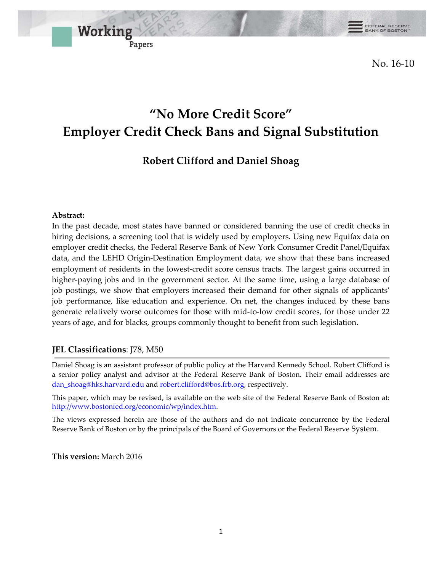FEDERAL RESERVE<br>BANK OF BOSTON™

No. 16-10

# **"No More Credit Score" Employer Credit Check Bans and Signal Substitution**

## **Robert Clifford and Daniel Shoag**

### **Abstract:**

In the past decade, most states have banned or considered banning the use of credit checks in hiring decisions, a screening tool that is widely used by employers. Using new Equifax data on employer credit checks, the Federal Reserve Bank of New York Consumer Credit Panel/Equifax data, and the LEHD Origin-Destination Employment data, we show that these bans increased employment of residents in the lowest-credit score census tracts. The largest gains occurred in higher-paying jobs and in the government sector. At the same time, using a large database of job postings, we show that employers increased their demand for other signals of applicants' job performance, like education and experience. On net, the changes induced by these bans generate relatively worse outcomes for those with mid-to-low credit scores, for those under 22 years of age, and for blacks, groups commonly thought to benefit from such legislation.

### **JEL Classifications**: J78, M50

Working

Papers

Daniel Shoag is an assistant professor of public policy at the Harvard Kennedy School. Robert Clifford is a senior policy analyst and advisor at the Federal Reserve Bank of Boston. Their email addresses are [dan\\_shoag@hks.harvard.edu](mailto:dan_shoag@hks.harvard.edu) and [robert.clifford@bos.frb.org,](mailto:robert.clifford@bos.frb.org) respectively.

This paper, which may be revised, is available on the web site of the Federal Reserve Bank of Boston at: [http://www.bostonfed.org/economic/wp/index.htm.](http://www.bostonfed.org/economic/wp/index.htm)

The views expressed herein are those of the authors and do not indicate concurrence by the Federal Reserve Bank of Boston or by the principals of the Board of Governors or the Federal Reserve System.

**This version:** March 2016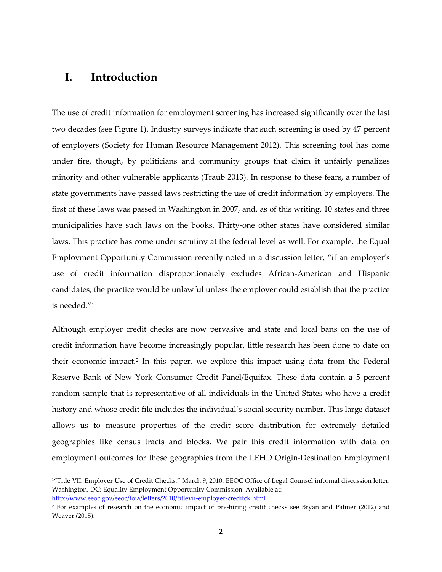## **I. Introduction**

The use of credit information for employment screening has increased significantly over the last two decades (see Figure 1). Industry surveys indicate that such screening is used by 47 percent of employers (Society for Human Resource Management 2012). This screening tool has come under fire, though, by politicians and community groups that claim it unfairly penalizes minority and other vulnerable applicants (Traub 2013). In response to these fears, a number of state governments have passed laws restricting the use of credit information by employers. The first of these laws was passed in Washington in 2007, and, as of this writing, 10 states and three municipalities have such laws on the books. Thirty-one other states have considered similar laws. This practice has come under scrutiny at the federal level as well. For example, the Equal Employment Opportunity Commission recently noted in a discussion letter, "if an employer's use of credit information disproportionately excludes African-American and Hispanic candidates, the practice would be unlawful unless the employer could establish that the practice is needed."[1](#page-1-0)

Although employer credit checks are now pervasive and state and local bans on the use of credit information have become increasingly popular, little research has been done to date on their economic impact.<sup>[2](#page-1-1)</sup> In this paper, we explore this impact using data from the Federal Reserve Bank of New York Consumer Credit Panel/Equifax. These data contain a 5 percent random sample that is representative of all individuals in the United States who have a credit history and whose credit file includes the individual's social security number. This large dataset allows us to measure properties of the credit score distribution for extremely detailed geographies like census tracts and blocks. We pair this credit information with data on employment outcomes for these geographies from the LEHD Origin-Destination Employment

<span id="page-1-0"></span><sup>&</sup>lt;sup>1</sup>"Title VII: Employer Use of Credit Checks," March 9, 2010. EEOC Office of Legal Counsel informal discussion letter. Washington, DC: Equality Employment Opportunity Commission. Available at: <http://www.eeoc.gov/eeoc/foia/letters/2010/titlevii-employer-creditck.html>

<span id="page-1-1"></span><sup>2</sup> For examples of research on the economic impact of pre-hiring credit checks see Bryan and Palmer (2012) and Weaver (2015).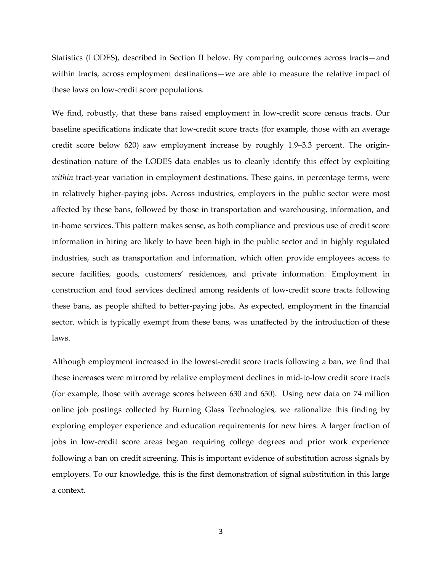Statistics (LODES), described in Section II below. By comparing outcomes across tracts—and within tracts, across employment destinations—we are able to measure the relative impact of these laws on low-credit score populations.

We find, robustly, that these bans raised employment in low-credit score census tracts. Our baseline specifications indicate that low-credit score tracts (for example, those with an average credit score below 620) saw employment increase by roughly 1.9–3.3 percent. The origindestination nature of the LODES data enables us to cleanly identify this effect by exploiting *within* tract-year variation in employment destinations. These gains, in percentage terms, were in relatively higher-paying jobs. Across industries, employers in the public sector were most affected by these bans, followed by those in transportation and warehousing, information, and in-home services. This pattern makes sense, as both compliance and previous use of credit score information in hiring are likely to have been high in the public sector and in highly regulated industries, such as transportation and information, which often provide employees access to secure facilities, goods, customers' residences, and private information. Employment in construction and food services declined among residents of low-credit score tracts following these bans, as people shifted to better-paying jobs. As expected, employment in the financial sector, which is typically exempt from these bans, was unaffected by the introduction of these laws.

Although employment increased in the lowest-credit score tracts following a ban, we find that these increases were mirrored by relative employment declines in mid-to-low credit score tracts (for example, those with average scores between 630 and 650). Using new data on 74 million online job postings collected by Burning Glass Technologies, we rationalize this finding by exploring employer experience and education requirements for new hires. A larger fraction of jobs in low-credit score areas began requiring college degrees and prior work experience following a ban on credit screening. This is important evidence of substitution across signals by employers. To our knowledge, this is the first demonstration of signal substitution in this large a context.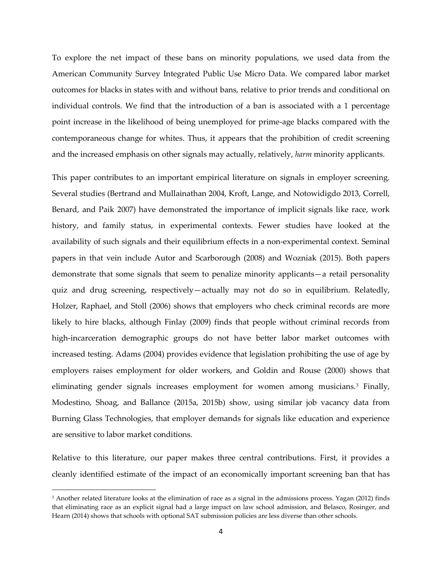To explore the net impact of these bans on minority populations, we used data from the American Community Survey Integrated Public Use Micro Data. We compared labor market outcomes for blacks in states with and without bans, relative to prior trends and conditional on individual controls. We find that the introduction of a ban is associated with a 1 percentage point increase in the likelihood of being unemployed for prime-age blacks compared with the contemporaneous change for whites. Thus, it appears that the prohibition of credit screening and the increased emphasis on other signals may actually, relatively, *harm* minority applicants.

This paper contributes to an important empirical literature on signals in employer screening. Several studies (Bertrand and Mullainathan 2004, Kroft, Lange, and Notowidigdo 2013, Correll, Benard, and Paik 2007) have demonstrated the importance of implicit signals like race, work history, and family status, in experimental contexts. Fewer studies have looked at the availability of such signals and their equilibrium effects in a non-experimental context. Seminal papers in that vein include Autor and Scarborough (2008) and Wozniak (2015). Both papers demonstrate that some signals that seem to penalize minority applicants—a retail personality quiz and drug screening, respectively—actually may not do so in equilibrium. Relatedly, Holzer, Raphael, and Stoll (2006) shows that employers who check criminal records are more likely to hire blacks, although Finlay (2009) finds that people without criminal records from high-incarceration demographic groups do not have better labor market outcomes with increased testing. Adams (2004) provides evidence that legislation prohibiting the use of age by employers raises employment for older workers, and Goldin and Rouse (2000) shows that eliminating gender signals increases employment for women among musicians[.3](#page-3-0) Finally, Modestino, Shoag, and Ballance (2015a, 2015b) show, using similar job vacancy data from Burning Glass Technologies, that employer demands for signals like education and experience are sensitive to labor market conditions.

Relative to this literature, our paper makes three central contributions. First, it provides a cleanly identified estimate of the impact of an economically important screening ban that has

 $\overline{\phantom{a}}$ 

<span id="page-3-0"></span><sup>&</sup>lt;sup>3</sup> Another related literature looks at the elimination of race as a signal in the admissions process. Yagan (2012) finds that eliminating race as an explicit signal had a large impact on law school admission, and Belasco, Rosinger, and Hearn (2014) shows that schools with optional SAT submission policies are less diverse than other schools.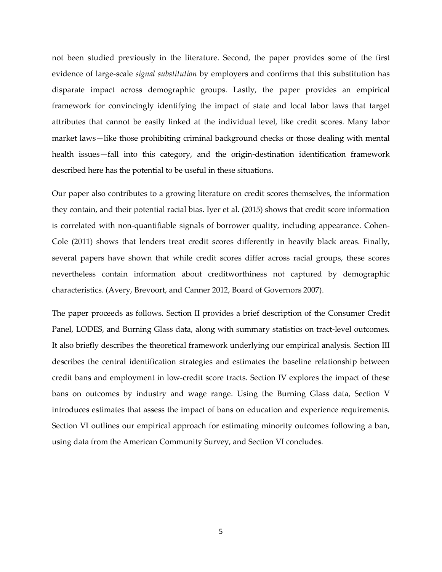not been studied previously in the literature. Second, the paper provides some of the first evidence of large-scale *signal substitution* by employers and confirms that this substitution has disparate impact across demographic groups. Lastly, the paper provides an empirical framework for convincingly identifying the impact of state and local labor laws that target attributes that cannot be easily linked at the individual level, like credit scores. Many labor market laws—like those prohibiting criminal background checks or those dealing with mental health issues—fall into this category, and the origin-destination identification framework described here has the potential to be useful in these situations.

Our paper also contributes to a growing literature on credit scores themselves, the information they contain, and their potential racial bias. Iyer et al. (2015) shows that credit score information is correlated with non-quantifiable signals of borrower quality, including appearance. Cohen-Cole (2011) shows that lenders treat credit scores differently in heavily black areas. Finally, several papers have shown that while credit scores differ across racial groups, these scores nevertheless contain information about creditworthiness not captured by demographic characteristics. (Avery, Brevoort, and Canner 2012, Board of Governors 2007).

The paper proceeds as follows. Section II provides a brief description of the Consumer Credit Panel, LODES, and Burning Glass data, along with summary statistics on tract-level outcomes. It also briefly describes the theoretical framework underlying our empirical analysis. Section III describes the central identification strategies and estimates the baseline relationship between credit bans and employment in low-credit score tracts. Section IV explores the impact of these bans on outcomes by industry and wage range. Using the Burning Glass data, Section V introduces estimates that assess the impact of bans on education and experience requirements. Section VI outlines our empirical approach for estimating minority outcomes following a ban, using data from the American Community Survey, and Section VI concludes.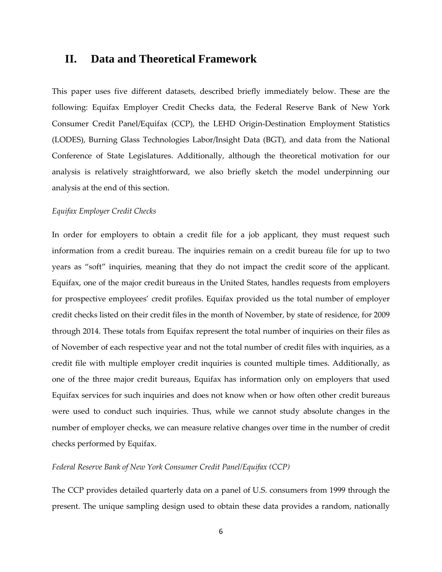## **II. Data and Theoretical Framework**

This paper uses five different datasets, described briefly immediately below. These are the following: Equifax Employer Credit Checks data, the Federal Reserve Bank of New York Consumer Credit Panel/Equifax (CCP), the LEHD Origin-Destination Employment Statistics (LODES), Burning Glass Technologies Labor/Insight Data (BGT), and data from the National Conference of State Legislatures. Additionally, although the theoretical motivation for our analysis is relatively straightforward, we also briefly sketch the model underpinning our analysis at the end of this section.

#### *Equifax Employer Credit Checks*

In order for employers to obtain a credit file for a job applicant, they must request such information from a credit bureau. The inquiries remain on a credit bureau file for up to two years as "soft" inquiries, meaning that they do not impact the credit score of the applicant. Equifax, one of the major credit bureaus in the United States, handles requests from employers for prospective employees' credit profiles. Equifax provided us the total number of employer credit checks listed on their credit files in the month of November, by state of residence, for 2009 through 2014. These totals from Equifax represent the total number of inquiries on their files as of November of each respective year and not the total number of credit files with inquiries, as a credit file with multiple employer credit inquiries is counted multiple times. Additionally, as one of the three major credit bureaus, Equifax has information only on employers that used Equifax services for such inquiries and does not know when or how often other credit bureaus were used to conduct such inquiries. Thus, while we cannot study absolute changes in the number of employer checks, we can measure relative changes over time in the number of credit checks performed by Equifax.

#### *Federal Reserve Bank of New York Consumer Credit Panel/Equifax (CCP)*

The CCP provides detailed quarterly data on a panel of U.S. consumers from 1999 through the present. The unique sampling design used to obtain these data provides a random, nationally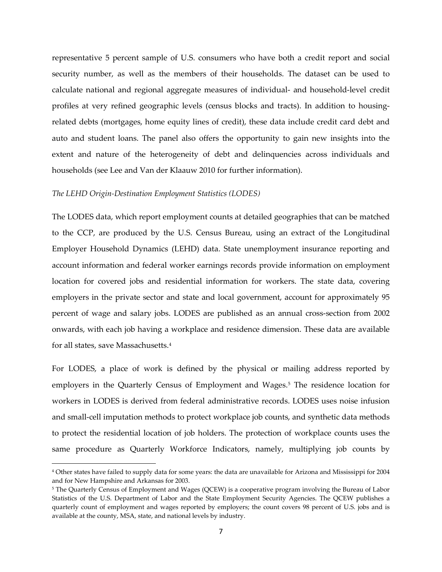representative 5 percent sample of U.S. consumers who have both a credit report and social security number, as well as the members of their households. The dataset can be used to calculate national and regional aggregate measures of individual- and household-level credit profiles at very refined geographic levels (census blocks and tracts). In addition to housingrelated debts (mortgages, home equity lines of credit), these data include credit card debt and auto and student loans. The panel also offers the opportunity to gain new insights into the extent and nature of the heterogeneity of debt and delinquencies across individuals and households (see Lee and Van der Klaauw 2010 for further information).

#### *The LEHD Origin-Destination Employment Statistics (LODES)*

 $\overline{\phantom{a}}$ 

The LODES data, which report employment counts at detailed geographies that can be matched to the CCP, are produced by the U.S. Census Bureau, using an extract of the Longitudinal Employer Household Dynamics (LEHD) data. State unemployment insurance reporting and account information and federal worker earnings records provide information on employment location for covered jobs and residential information for workers. The state data, covering employers in the private sector and state and local government, account for approximately 95 percent of wage and salary jobs. LODES are published as an annual cross-section from 2002 onwards, with each job having a workplace and residence dimension. These data are available for all states, save Massachusetts.[4](#page-6-0)

For LODES, a place of work is defined by the physical or mailing address reported by employers in the Quarterly Census of Employment and Wages.<sup>[5](#page-6-1)</sup> The residence location for workers in LODES is derived from federal administrative records. LODES uses noise infusion and small-cell imputation methods to protect workplace job counts, and synthetic data methods to protect the residential location of job holders. The protection of workplace counts uses the same procedure as Quarterly Workforce Indicators, namely, multiplying job counts by

<span id="page-6-0"></span><sup>4</sup> Other states have failed to supply data for some years: the data are unavailable for Arizona and Mississippi for 2004 and for New Hampshire and Arkansas for 2003.

<span id="page-6-1"></span><sup>&</sup>lt;sup>5</sup> The Quarterly Census of Employment and Wages (QCEW) is a cooperative program involving the Bureau of Labor Statistics of the U.S. Department of Labor and the State Employment Security Agencies. The QCEW publishes a quarterly count of employment and wages reported by employers; the count covers 98 percent of U.S. jobs and is available at the county, MSA, state, and national levels by industry.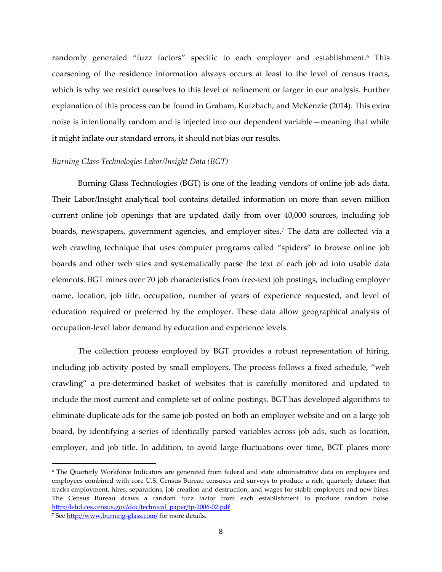randomly generated "fuzz factors" specific to each employer and establishment.<sup>[6](#page-7-0)</sup> This coarsening of the residence information always occurs at least to the level of census tracts, which is why we restrict ourselves to this level of refinement or larger in our analysis. Further explanation of this process can be found in Graham, Kutzbach, and McKenzie (2014). This extra noise is intentionally random and is injected into our dependent variable—meaning that while it might inflate our standard errors, it should not bias our results.

#### *Burning Glass Technologies Labor/Insight Data (BGT)*

Burning Glass Technologies (BGT) is one of the leading vendors of online job ads data. Their Labor/Insight analytical tool contains detailed information on more than seven million current online job openings that are updated daily from over 40,000 sources, including job boards, newspapers, government agencies, and employer sites[.7](#page-7-1) The data are collected via a web crawling technique that uses computer programs called "spiders" to browse online job boards and other web sites and systematically parse the text of each job ad into usable data elements. BGT mines over 70 job characteristics from free-text job postings, including employer name, location, job title, occupation, number of years of experience requested, and level of education required or preferred by the employer. These data allow geographical analysis of occupation-level labor demand by education and experience levels.

The collection process employed by BGT provides a robust representation of hiring, including job activity posted by small employers. The process follows a fixed schedule, "web crawling" a pre-determined basket of websites that is carefully monitored and updated to include the most current and complete set of online postings. BGT has developed algorithms to eliminate duplicate ads for the same job posted on both an employer website and on a large job board, by identifying a series of identically parsed variables across job ads, such as location, employer, and job title. In addition, to avoid large fluctuations over time, BGT places more

 $\overline{\phantom{a}}$ 

<span id="page-7-0"></span><sup>6</sup> The Quarterly Workforce Indicators are generated from federal and state administrative data on employers and employees combined with core U.S. Census Bureau censuses and surveys to produce a rich, quarterly dataset that tracks employment, hires, separations, job creation and destruction, and wages for stable employees and new hires. The Census Bureau draws a random fuzz factor from each establishment to produce random noise. [http://lehd.ces.census.gov/doc/technical\\_paper/tp-2006-02.pdf](http://lehd.ces.census.gov/doc/technical_paper/tp-2006-02.pdf)

<span id="page-7-1"></span><sup>7</sup> Se[e http://www.burning-glass.com/](http://www.burning-glass.com/) for more details.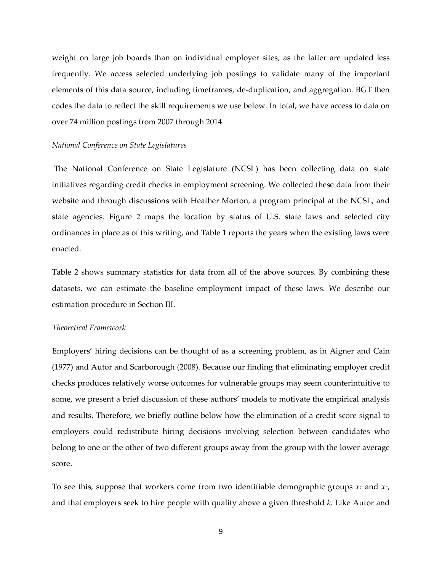weight on large job boards than on individual employer sites, as the latter are updated less frequently. We access selected underlying job postings to validate many of the important elements of this data source, including timeframes, de-duplication, and aggregation. BGT then codes the data to reflect the skill requirements we use below. In total, we have access to data on over 74 million postings from 2007 through 2014.

#### *National Conference on State Legislatures*

The National Conference on State Legislature (NCSL) has been collecting data on state initiatives regarding credit checks in employment screening. We collected these data from their website and through discussions with Heather Morton, a program principal at the NCSL, and state agencies. Figure 2 maps the location by status of U.S. state laws and selected city ordinances in place as of this writing, and Table 1 reports the years when the existing laws were enacted.

Table 2 shows summary statistics for data from all of the above sources. By combining these datasets, we can estimate the baseline employment impact of these laws. We describe our estimation procedure in Section III.

#### *Theoretical Framework*

Employers' hiring decisions can be thought of as a screening problem, as in Aigner and Cain (1977) and Autor and Scarborough (2008). Because our finding that eliminating employer credit checks produces relatively worse outcomes for vulnerable groups may seem counterintuitive to some, we present a brief discussion of these authors' models to motivate the empirical analysis and results. Therefore, we briefly outline below how the elimination of a credit score signal to employers could redistribute hiring decisions involving selection between candidates who belong to one or the other of two different groups away from the group with the lower average score.

To see this, suppose that workers come from two identifiable demographic groups *x1* and *x2*, and that employers seek to hire people with quality above a given threshold *k*. Like Autor and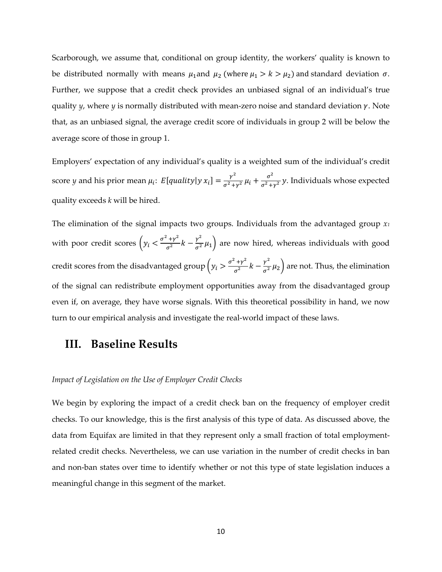Scarborough, we assume that, conditional on group identity, the workers' quality is known to be distributed normally with means  $\mu_1$  and  $\mu_2$  (where  $\mu_1 > k > \mu_2$ ) and standard deviation  $\sigma$ . Further, we suppose that a credit check provides an unbiased signal of an individual's true quality  $\psi$ , where  $\psi$  is normally distributed with mean-zero noise and standard deviation  $\gamma$ . Note that, as an unbiased signal, the average credit score of individuals in group 2 will be below the average score of those in group 1.

Employers' expectation of any individual's quality is a weighted sum of the individual's credit score *y* and his prior mean  $\mu_i$ :  $E[quality|y|x_i] = \frac{\gamma^2}{\sigma^2 + \gamma^2} \mu_i + \frac{\sigma^2}{\sigma^2 + \gamma^2} y$ . Individuals whose expected quality exceeds *k* will be hired.

The elimination of the signal impacts two groups. Individuals from the advantaged group *x1* with poor credit scores  $\left(y_i \leq \frac{\sigma^2 + \gamma^2}{\sigma^2} k - \frac{\gamma^2}{\sigma^2} \mu_1\right)$  are now hired, whereas individuals with good credit scores from the disadvantaged group  $\left(y_i > \frac{\sigma^2 + \gamma^2}{\sigma^2} k - \frac{\gamma^2}{\sigma^2} \mu_2\right)$  are not. Thus, the elimination of the signal can redistribute employment opportunities away from the disadvantaged group even if, on average, they have worse signals. With this theoretical possibility in hand, we now turn to our empirical analysis and investigate the real-world impact of these laws.

## **III. Baseline Results**

#### *Impact of Legislation on the Use of Employer Credit Checks*

We begin by exploring the impact of a credit check ban on the frequency of employer credit checks. To our knowledge, this is the first analysis of this type of data. As discussed above, the data from Equifax are limited in that they represent only a small fraction of total employmentrelated credit checks. Nevertheless, we can use variation in the number of credit checks in ban and non-ban states over time to identify whether or not this type of state legislation induces a meaningful change in this segment of the market.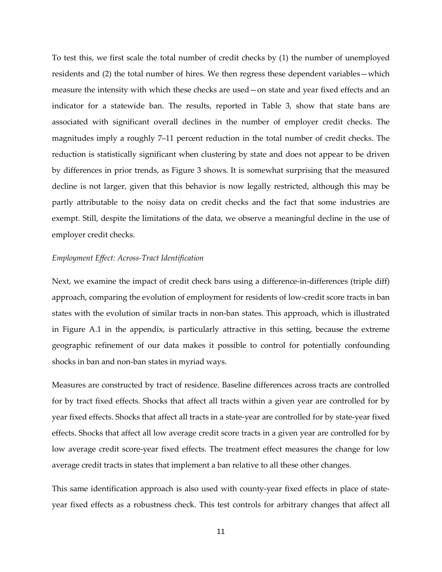To test this, we first scale the total number of credit checks by (1) the number of unemployed residents and (2) the total number of hires. We then regress these dependent variables—which measure the intensity with which these checks are used—on state and year fixed effects and an indicator for a statewide ban. The results, reported in Table 3, show that state bans are associated with significant overall declines in the number of employer credit checks. The magnitudes imply a roughly 7–11 percent reduction in the total number of credit checks. The reduction is statistically significant when clustering by state and does not appear to be driven by differences in prior trends, as Figure 3 shows. It is somewhat surprising that the measured decline is not larger, given that this behavior is now legally restricted, although this may be partly attributable to the noisy data on credit checks and the fact that some industries are exempt. Still, despite the limitations of the data, we observe a meaningful decline in the use of employer credit checks.

#### *Employment Effect: Across-Tract Identification*

Next, we examine the impact of credit check bans using a difference-in-differences (triple diff) approach, comparing the evolution of employment for residents of low-credit score tracts in ban states with the evolution of similar tracts in non-ban states. This approach, which is illustrated in Figure A.1 in the appendix, is particularly attractive in this setting, because the extreme geographic refinement of our data makes it possible to control for potentially confounding shocks in ban and non-ban states in myriad ways.

Measures are constructed by tract of residence. Baseline differences across tracts are controlled for by tract fixed effects. Shocks that affect all tracts within a given year are controlled for by year fixed effects. Shocks that affect all tracts in a state-year are controlled for by state-year fixed effects. Shocks that affect all low average credit score tracts in a given year are controlled for by low average credit score-year fixed effects. The treatment effect measures the change for low average credit tracts in states that implement a ban relative to all these other changes.

This same identification approach is also used with county-year fixed effects in place of stateyear fixed effects as a robustness check. This test controls for arbitrary changes that affect all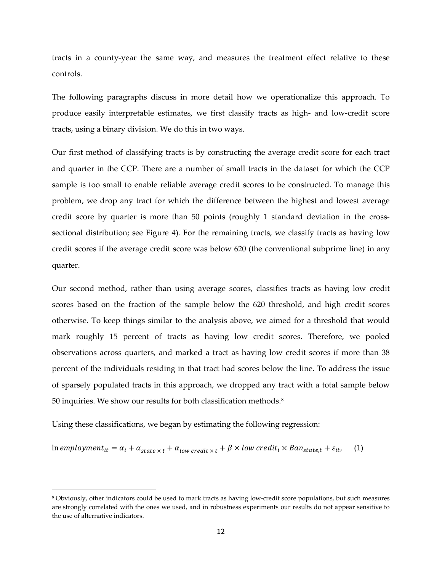tracts in a county-year the same way, and measures the treatment effect relative to these controls.

The following paragraphs discuss in more detail how we operationalize this approach. To produce easily interpretable estimates, we first classify tracts as high- and low-credit score tracts, using a binary division. We do this in two ways.

Our first method of classifying tracts is by constructing the average credit score for each tract and quarter in the CCP. There are a number of small tracts in the dataset for which the CCP sample is too small to enable reliable average credit scores to be constructed. To manage this problem, we drop any tract for which the difference between the highest and lowest average credit score by quarter is more than 50 points (roughly 1 standard deviation in the crosssectional distribution; see Figure 4). For the remaining tracts, we classify tracts as having low credit scores if the average credit score was below 620 (the conventional subprime line) in any quarter.

Our second method, rather than using average scores, classifies tracts as having low credit scores based on the fraction of the sample below the 620 threshold, and high credit scores otherwise. To keep things similar to the analysis above, we aimed for a threshold that would mark roughly 15 percent of tracts as having low credit scores. Therefore, we pooled observations across quarters, and marked a tract as having low credit scores if more than 38 percent of the individuals residing in that tract had scores below the line. To address the issue of sparsely populated tracts in this approach, we dropped any tract with a total sample below 50 inquiries. We show our results for both classification methods.[8](#page-11-0)

Using these classifications, we began by estimating the following regression:

 $\ln \text{emplogment}_{it} = \alpha_i + \alpha_{state \times t} + \alpha_{low\text{ credit} \times t} + \beta \times \text{low credit}_{i} \times \text{Ban}_{state, t} + \varepsilon_{it}$  (1)

<span id="page-11-0"></span><sup>8</sup> Obviously, other indicators could be used to mark tracts as having low-credit score populations, but such measures are strongly correlated with the ones we used, and in robustness experiments our results do not appear sensitive to the use of alternative indicators.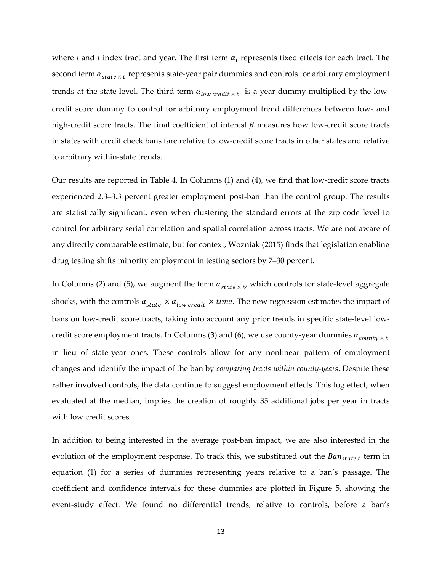where *i* and *t* index tract and year. The first term  $\alpha_i$  represents fixed effects for each tract. The second term  $\alpha_{state \times t}$  represents state-year pair dummies and controls for arbitrary employment trends at the state level. The third term  $\alpha_{low\, credit \times t}$  is a year dummy multiplied by the lowcredit score dummy to control for arbitrary employment trend differences between low- and high-credit score tracts. The final coefficient of interest  $\beta$  measures how low-credit score tracts in states with credit check bans fare relative to low-credit score tracts in other states and relative to arbitrary within-state trends.

Our results are reported in Table 4. In Columns (1) and (4), we find that low-credit score tracts experienced 2.3–3.3 percent greater employment post-ban than the control group. The results are statistically significant, even when clustering the standard errors at the zip code level to control for arbitrary serial correlation and spatial correlation across tracts. We are not aware of any directly comparable estimate, but for context, Wozniak (2015) finds that legislation enabling drug testing shifts minority employment in testing sectors by 7–30 percent.

In Columns (2) and (5), we augment the term  $\alpha_{state \times t'}$  which controls for state-level aggregate shocks, with the controls  $\alpha_{state} \times \alpha_{low\, credit} \times time$ . The new regression estimates the impact of bans on low-credit score tracts, taking into account any prior trends in specific state-level lowcredit score employment tracts. In Columns (3) and (6), we use county-year dummies  $\alpha_{county \times t}$ in lieu of state-year ones. These controls allow for any nonlinear pattern of employment changes and identify the impact of the ban by *comparing tracts within county-years*. Despite these rather involved controls, the data continue to suggest employment effects. This log effect, when evaluated at the median, implies the creation of roughly 35 additional jobs per year in tracts with low credit scores.

In addition to being interested in the average post-ban impact, we are also interested in the evolution of the employment response. To track this, we substituted out the  $Ban_{state,t}$  term in equation (1) for a series of dummies representing years relative to a ban's passage. The coefficient and confidence intervals for these dummies are plotted in Figure 5, showing the event-study effect. We found no differential trends, relative to controls, before a ban's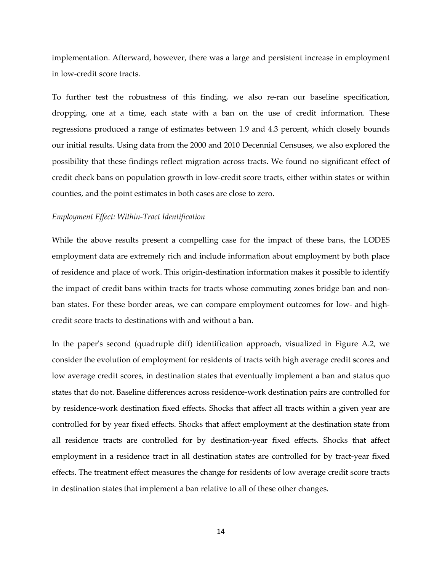implementation. Afterward, however, there was a large and persistent increase in employment in low-credit score tracts.

To further test the robustness of this finding, we also re-ran our baseline specification, dropping, one at a time, each state with a ban on the use of credit information. These regressions produced a range of estimates between 1.9 and 4.3 percent, which closely bounds our initial results. Using data from the 2000 and 2010 Decennial Censuses, we also explored the possibility that these findings reflect migration across tracts. We found no significant effect of credit check bans on population growth in low-credit score tracts, either within states or within counties, and the point estimates in both cases are close to zero.

#### *Employment Effect: Within-Tract Identification*

While the above results present a compelling case for the impact of these bans, the LODES employment data are extremely rich and include information about employment by both place of residence and place of work. This origin-destination information makes it possible to identify the impact of credit bans within tracts for tracts whose commuting zones bridge ban and nonban states. For these border areas, we can compare employment outcomes for low- and highcredit score tracts to destinations with and without a ban.

In the paper's second (quadruple diff) identification approach, visualized in Figure A.2, we consider the evolution of employment for residents of tracts with high average credit scores and low average credit scores, in destination states that eventually implement a ban and status quo states that do not. Baseline differences across residence-work destination pairs are controlled for by residence-work destination fixed effects. Shocks that affect all tracts within a given year are controlled for by year fixed effects. Shocks that affect employment at the destination state from all residence tracts are controlled for by destination-year fixed effects. Shocks that affect employment in a residence tract in all destination states are controlled for by tract-year fixed effects. The treatment effect measures the change for residents of low average credit score tracts in destination states that implement a ban relative to all of these other changes.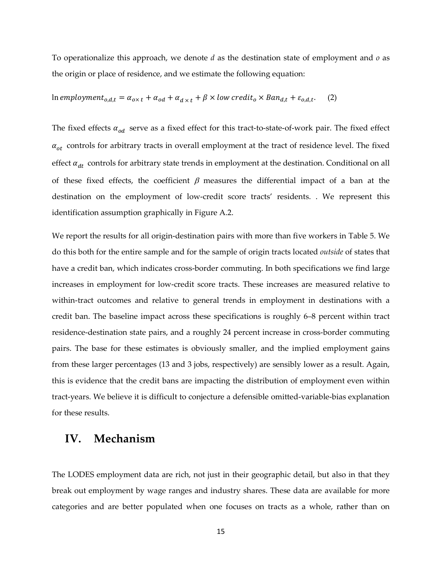To operationalize this approach, we denote *d* as the destination state of employment and *o* as the origin or place of residence, and we estimate the following equation:

In employment<sub>0,d,t</sub> = 
$$
\alpha_{0\times t} + \alpha_{od} + \alpha_{d\times t} + \beta \times low\,i
$$

The fixed effects  $\alpha_{od}$  serve as a fixed effect for this tract-to-state-of-work pair. The fixed effect  $\alpha_{at}$  controls for arbitrary tracts in overall employment at the tract of residence level. The fixed effect  $\alpha_{dt}$  controls for arbitrary state trends in employment at the destination. Conditional on all of these fixed effects, the coefficient  $\beta$  measures the differential impact of a ban at the destination on the employment of low-credit score tracts' residents. . We represent this identification assumption graphically in Figure A.2.

We report the results for all origin-destination pairs with more than five workers in Table 5. We do this both for the entire sample and for the sample of origin tracts located *outside* of states that have a credit ban, which indicates cross-border commuting. In both specifications we find large increases in employment for low-credit score tracts. These increases are measured relative to within-tract outcomes and relative to general trends in employment in destinations with a credit ban. The baseline impact across these specifications is roughly 6–8 percent within tract residence-destination state pairs, and a roughly 24 percent increase in cross-border commuting pairs. The base for these estimates is obviously smaller, and the implied employment gains from these larger percentages (13 and 3 jobs, respectively) are sensibly lower as a result. Again, this is evidence that the credit bans are impacting the distribution of employment even within tract-years. We believe it is difficult to conjecture a defensible omitted-variable-bias explanation for these results.

## **IV. Mechanism**

The LODES employment data are rich, not just in their geographic detail, but also in that they break out employment by wage ranges and industry shares. These data are available for more categories and are better populated when one focuses on tracts as a whole, rather than on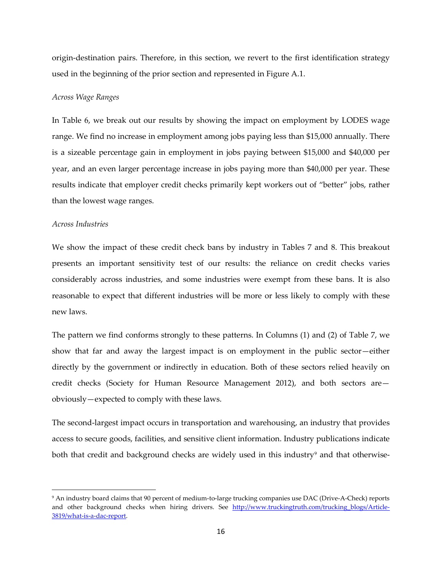origin-destination pairs. Therefore, in this section, we revert to the first identification strategy used in the beginning of the prior section and represented in Figure A.1.

#### *Across Wage Ranges*

In Table 6, we break out our results by showing the impact on employment by LODES wage range. We find no increase in employment among jobs paying less than \$15,000 annually. There is a sizeable percentage gain in employment in jobs paying between \$15,000 and \$40,000 per year, and an even larger percentage increase in jobs paying more than \$40,000 per year. These results indicate that employer credit checks primarily kept workers out of "better" jobs, rather than the lowest wage ranges.

#### *Across Industries*

 $\overline{\phantom{a}}$ 

We show the impact of these credit check bans by industry in Tables 7 and 8. This breakout presents an important sensitivity test of our results: the reliance on credit checks varies considerably across industries, and some industries were exempt from these bans. It is also reasonable to expect that different industries will be more or less likely to comply with these new laws.

The pattern we find conforms strongly to these patterns. In Columns (1) and (2) of Table 7, we show that far and away the largest impact is on employment in the public sector—either directly by the government or indirectly in education. Both of these sectors relied heavily on credit checks (Society for Human Resource Management 2012), and both sectors are obviously—expected to comply with these laws.

The second-largest impact occurs in transportation and warehousing, an industry that provides access to secure goods, facilities, and sensitive client information. Industry publications indicate both that credit and background checks are widely used in this industry<sup>[9](#page-15-0)</sup> and that otherwise-

<span id="page-15-0"></span><sup>9</sup> An industry board claims that 90 percent of medium-to-large trucking companies use DAC (Drive-A-Check) reports and other background checks when hiring drivers. See http://www.truckingtruth.com/trucking blogs/Article-[3819/what-is-a-dac-report.](http://www.truckingtruth.com/trucking_blogs/Article-3819/what-is-a-dac-report)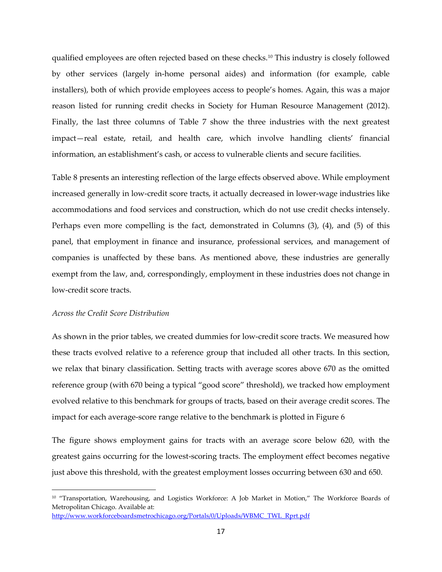qualified employees are often rejected based on these checks.[10](#page-16-0) This industry is closely followed by other services (largely in-home personal aides) and information (for example, cable installers), both of which provide employees access to people's homes. Again, this was a major reason listed for running credit checks in Society for Human Resource Management (2012). Finally, the last three columns of Table 7 show the three industries with the next greatest impact—real estate, retail, and health care, which involve handling clients' financial information, an establishment's cash, or access to vulnerable clients and secure facilities.

Table 8 presents an interesting reflection of the large effects observed above. While employment increased generally in low-credit score tracts, it actually decreased in lower-wage industries like accommodations and food services and construction, which do not use credit checks intensely. Perhaps even more compelling is the fact, demonstrated in Columns (3), (4), and (5) of this panel, that employment in finance and insurance, professional services, and management of companies is unaffected by these bans. As mentioned above, these industries are generally exempt from the law, and, correspondingly, employment in these industries does not change in low-credit score tracts.

### *Across the Credit Score Distribution*

 $\overline{\phantom{a}}$ 

As shown in the prior tables, we created dummies for low-credit score tracts. We measured how these tracts evolved relative to a reference group that included all other tracts. In this section, we relax that binary classification. Setting tracts with average scores above 670 as the omitted reference group (with 670 being a typical "good score" threshold), we tracked how employment evolved relative to this benchmark for groups of tracts, based on their average credit scores. The impact for each average-score range relative to the benchmark is plotted in Figure 6

The figure shows employment gains for tracts with an average score below 620, with the greatest gains occurring for the lowest-scoring tracts. The employment effect becomes negative just above this threshold, with the greatest employment losses occurring between 630 and 650.

<span id="page-16-0"></span><sup>&</sup>lt;sup>10</sup> "Transportation, Warehousing, and Logistics Workforce: A Job Market in Motion," The Workforce Boards of Metropolitan Chicago. Available at:

[http://www.workforceboardsmetrochicago.org/Portals/0/Uploads/WBMC\\_TWL\\_Rprt.pdf](http://www.workforceboardsmetrochicago.org/Portals/0/Uploads/WBMC_TWL_Rprt.pdf)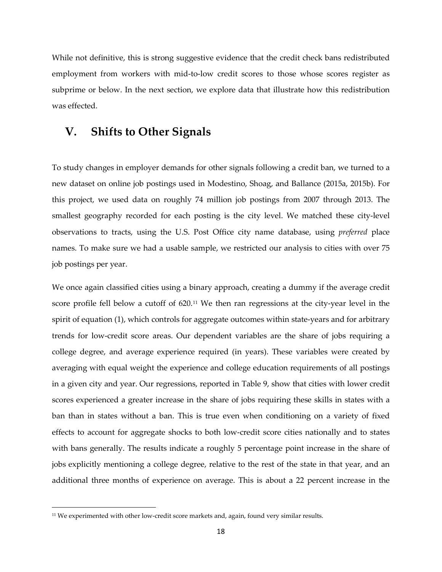While not definitive, this is strong suggestive evidence that the credit check bans redistributed employment from workers with mid-to-low credit scores to those whose scores register as subprime or below. In the next section, we explore data that illustrate how this redistribution was effected.

## **V. Shifts to Other Signals**

To study changes in employer demands for other signals following a credit ban, we turned to a new dataset on online job postings used in Modestino, Shoag, and Ballance (2015a, 2015b). For this project, we used data on roughly 74 million job postings from 2007 through 2013. The smallest geography recorded for each posting is the city level. We matched these city-level observations to tracts, using the U.S. Post Office city name database, using *preferred* place names. To make sure we had a usable sample, we restricted our analysis to cities with over 75 job postings per year.

We once again classified cities using a binary approach, creating a dummy if the average credit score profile fell below a cutoff of 620.[11](#page-17-0) We then ran regressions at the city-year level in the spirit of equation (1), which controls for aggregate outcomes within state-years and for arbitrary trends for low-credit score areas. Our dependent variables are the share of jobs requiring a college degree, and average experience required (in years). These variables were created by averaging with equal weight the experience and college education requirements of all postings in a given city and year. Our regressions, reported in Table 9, show that cities with lower credit scores experienced a greater increase in the share of jobs requiring these skills in states with a ban than in states without a ban. This is true even when conditioning on a variety of fixed effects to account for aggregate shocks to both low-credit score cities nationally and to states with bans generally. The results indicate a roughly 5 percentage point increase in the share of jobs explicitly mentioning a college degree, relative to the rest of the state in that year, and an additional three months of experience on average. This is about a 22 percent increase in the

 $\overline{\phantom{a}}$ 

<span id="page-17-0"></span> $11$  We experimented with other low-credit score markets and, again, found very similar results.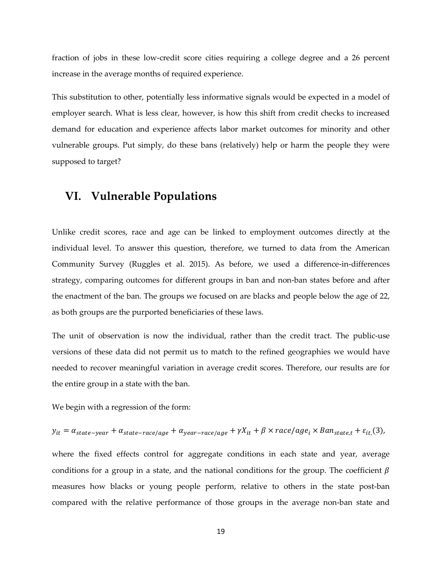fraction of jobs in these low-credit score cities requiring a college degree and a 26 percent increase in the average months of required experience.

This substitution to other, potentially less informative signals would be expected in a model of employer search. What is less clear, however, is how this shift from credit checks to increased demand for education and experience affects labor market outcomes for minority and other vulnerable groups. Put simply, do these bans (relatively) help or harm the people they were supposed to target?

## **VI. Vulnerable Populations**

Unlike credit scores, race and age can be linked to employment outcomes directly at the individual level. To answer this question, therefore, we turned to data from the American Community Survey (Ruggles et al. 2015). As before, we used a difference-in-differences strategy, comparing outcomes for different groups in ban and non-ban states before and after the enactment of the ban. The groups we focused on are blacks and people below the age of 22, as both groups are the purported beneficiaries of these laws.

The unit of observation is now the individual, rather than the credit tract. The public-use versions of these data did not permit us to match to the refined geographies we would have needed to recover meaningful variation in average credit scores. Therefore, our results are for the entire group in a state with the ban.

We begin with a regression of the form:

$$
y_{it} = \alpha_{state-year} + \alpha_{state-race/age} + \alpha_{year-race/age} + \gamma X_{it} + \beta \times race/age_i \times Ban_{state,t} + \varepsilon_{it}(3),
$$

where the fixed effects control for aggregate conditions in each state and year, average conditions for a group in a state, and the national conditions for the group. The coefficient  $\beta$ measures how blacks or young people perform, relative to others in the state post-ban compared with the relative performance of those groups in the average non-ban state and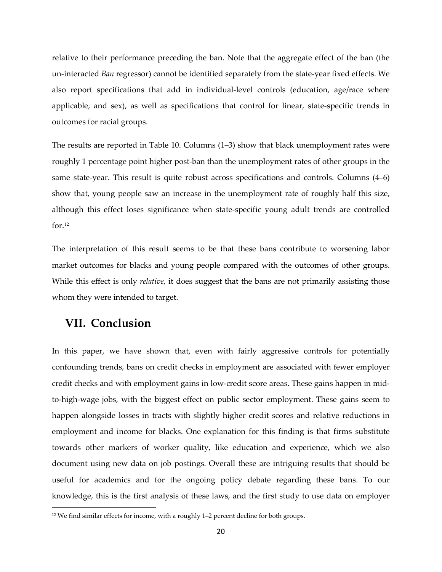relative to their performance preceding the ban. Note that the aggregate effect of the ban (the un-interacted *Ban* regressor) cannot be identified separately from the state-year fixed effects. We also report specifications that add in individual-level controls (education, age/race where applicable, and sex), as well as specifications that control for linear, state-specific trends in outcomes for racial groups.

The results are reported in Table 10. Columns (1–3) show that black unemployment rates were roughly 1 percentage point higher post-ban than the unemployment rates of other groups in the same state-year. This result is quite robust across specifications and controls. Columns (4–6) show that, young people saw an increase in the unemployment rate of roughly half this size, although this effect loses significance when state-specific young adult trends are controlled for $.12$  $.12$ 

The interpretation of this result seems to be that these bans contribute to worsening labor market outcomes for blacks and young people compared with the outcomes of other groups. While this effect is only *relative*, it does suggest that the bans are not primarily assisting those whom they were intended to target.

## **VII. Conclusion**

 $\overline{\phantom{a}}$ 

In this paper, we have shown that, even with fairly aggressive controls for potentially confounding trends, bans on credit checks in employment are associated with fewer employer credit checks and with employment gains in low-credit score areas. These gains happen in midto-high-wage jobs, with the biggest effect on public sector employment. These gains seem to happen alongside losses in tracts with slightly higher credit scores and relative reductions in employment and income for blacks. One explanation for this finding is that firms substitute towards other markers of worker quality, like education and experience, which we also document using new data on job postings. Overall these are intriguing results that should be useful for academics and for the ongoing policy debate regarding these bans. To our knowledge, this is the first analysis of these laws, and the first study to use data on employer

<span id="page-19-0"></span><sup>&</sup>lt;sup>12</sup> We find similar effects for income, with a roughly 1–2 percent decline for both groups.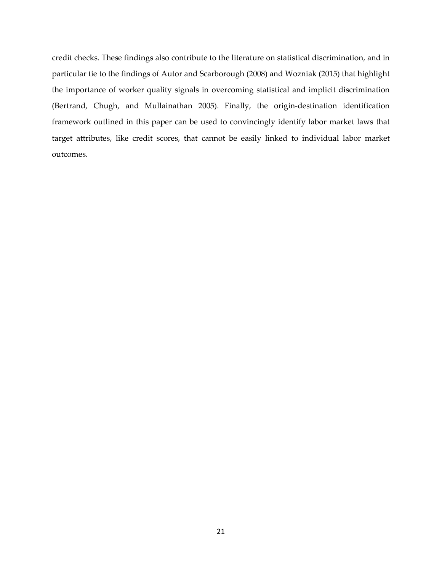credit checks. These findings also contribute to the literature on statistical discrimination, and in particular tie to the findings of Autor and Scarborough (2008) and Wozniak (2015) that highlight the importance of worker quality signals in overcoming statistical and implicit discrimination (Bertrand, Chugh, and Mullainathan 2005). Finally, the origin-destination identification framework outlined in this paper can be used to convincingly identify labor market laws that target attributes, like credit scores, that cannot be easily linked to individual labor market outcomes.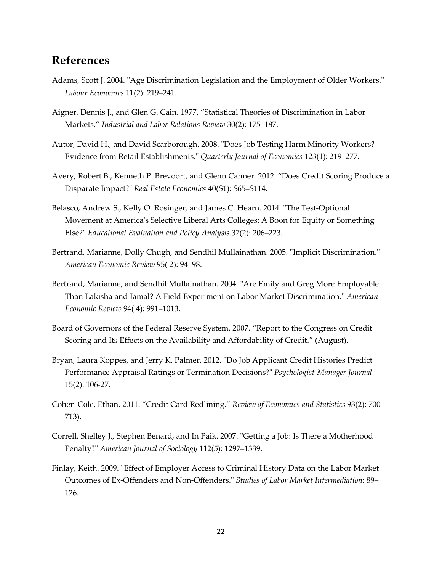## **References**

- Adams, Scott J. 2004. "Age Discrimination Legislation and the Employment of Older Workers." *Labour Economics* 11(2): 219–241.
- Aigner, Dennis J., and Glen G. Cain. 1977. "Statistical Theories of Discrimination in Labor Markets." *Industrial and Labor Relations Review* 30(2): 175–187.
- Autor, David H., and David Scarborough. 2008. "Does Job Testing Harm Minority Workers? Evidence from Retail Establishments." *Quarterly Journal of Economics* 123(1): 219–277.
- Avery, Robert B., Kenneth P. Brevoort, and Glenn Canner. 2012. "Does Credit Scoring Produce a Disparate Impact?" *Real Estate Economics* 40(S1): S65–S114.
- Belasco, Andrew S., Kelly O. Rosinger, and James C. Hearn. 2014. "The Test-Optional Movement at America's Selective Liberal Arts Colleges: A Boon for Equity or Something Else?" *Educational Evaluation and Policy Analysis* 37(2): 206–223.
- Bertrand, Marianne, Dolly Chugh, and Sendhil Mullainathan. 2005. "Implicit Discrimination." *American Economic Review* 95( 2): 94–98.
- Bertrand, Marianne, and Sendhil Mullainathan. 2004. "Are Emily and Greg More Employable Than Lakisha and Jamal? A Field Experiment on Labor Market Discrimination." *American Economic Review* 94( 4): 991–1013.
- Board of Governors of the Federal Reserve System. 2007. "Report to the Congress on Credit Scoring and Its Effects on the Availability and Affordability of Credit." (August).
- Bryan, Laura Koppes, and Jerry K. Palmer. 2012. "Do Job Applicant Credit Histories Predict Performance Appraisal Ratings or Termination Decisions?" *Psychologist-Manager Journal* 15(2): 106-27.
- Cohen-Cole, Ethan. 2011. "Credit Card Redlining." *Review of Economics and Statistics* 93(2): 700– 713).
- Correll, Shelley J., Stephen Benard, and In Paik. 2007. "Getting a Job: Is There a Motherhood Penalty?" *American Journal of Sociology* 112(5): 1297–1339.
- Finlay, Keith. 2009. "Effect of Employer Access to Criminal History Data on the Labor Market Outcomes of Ex-Offenders and Non-Offenders." *Studies of Labor Market Intermediation*: 89– 126.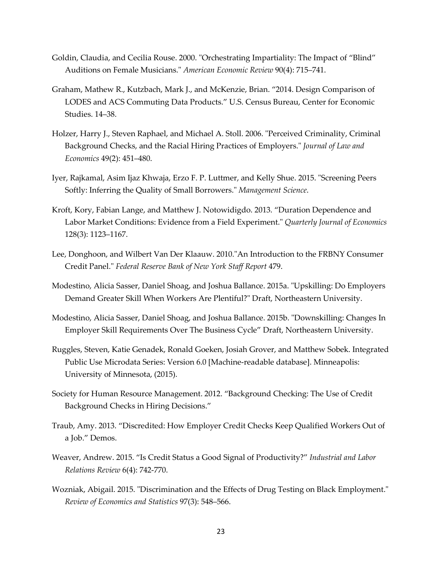- Goldin, Claudia, and Cecilia Rouse. 2000. "Orchestrating Impartiality: The Impact of "Blind" Auditions on Female Musicians." *American Economic Review* 90(4): 715–741.
- Graham, Mathew R., Kutzbach, Mark J., and McKenzie, Brian. "2014. Design Comparison of LODES and ACS Commuting Data Products." U.S. Census Bureau, Center for Economic Studies. 14–38.
- Holzer, Harry J., Steven Raphael, and Michael A. Stoll. 2006. "Perceived Criminality, Criminal Background Checks, and the Racial Hiring Practices of Employers." *Journal of Law and Economics* 49(2): 451–480.
- Iyer, Rajkamal, Asim Ijaz Khwaja, Erzo F. P. Luttmer, and Kelly Shue. 2015. "Screening Peers Softly: Inferring the Quality of Small Borrowers." *Management Science*.
- Kroft, Kory, Fabian Lange, and Matthew J. Notowidigdo. 2013. "Duration Dependence and Labor Market Conditions: Evidence from a Field Experiment." *Quarterly Journal of Economics* 128(3): 1123–1167.
- Lee, Donghoon, and Wilbert Van Der Klaauw. 2010."An Introduction to the FRBNY Consumer Credit Panel." *Federal Reserve Bank of New York Staff Report* 479.
- Modestino, Alicia Sasser, Daniel Shoag, and Joshua Ballance. 2015a. "Upskilling: Do Employers Demand Greater Skill When Workers Are Plentiful?" Draft, Northeastern University.
- Modestino, Alicia Sasser, Daniel Shoag, and Joshua Ballance. 2015b. "Downskilling: Changes In Employer Skill Requirements Over The Business Cycle" Draft, Northeastern University.
- Ruggles, Steven, Katie Genadek, Ronald Goeken, Josiah Grover, and Matthew Sobek. Integrated Public Use Microdata Series: Version 6.0 [Machine-readable database]. Minneapolis: University of Minnesota, (2015).
- Society for Human Resource Management. 2012. "Background Checking: The Use of Credit Background Checks in Hiring Decisions."
- Traub, Amy. 2013. "Discredited: How Employer Credit Checks Keep Qualified Workers Out of a Job." Demos.
- Weaver, Andrew. 2015. "Is Credit Status a Good Signal of Productivity?" *Industrial and Labor Relations Review* 6(4): 742-770.
- Wozniak, Abigail. 2015. "Discrimination and the Effects of Drug Testing on Black Employment." *Review of Economics and Statistics* 97(3): 548–566.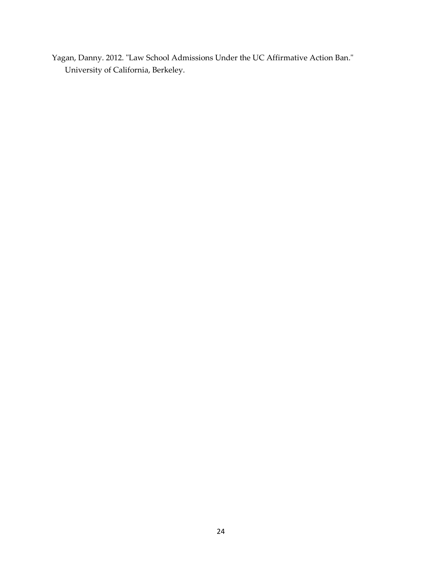Yagan, Danny. 2012. "Law School Admissions Under the UC Affirmative Action Ban." University of California, Berkeley.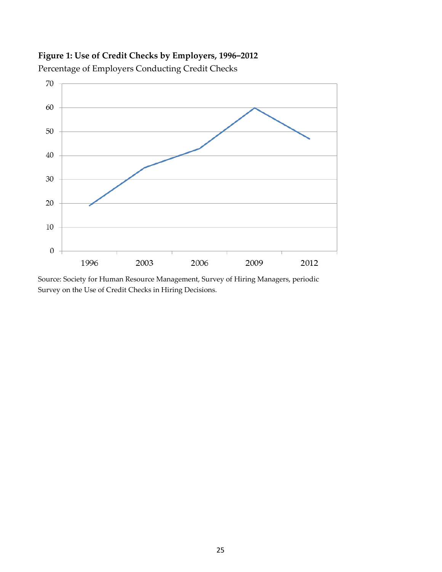## **Figure 1: Use of Credit Checks by Employers, 1996–2012**



Percentage of Employers Conducting Credit Checks

Source: Society for Human Resource Management, Survey of Hiring Managers, periodic Survey on the Use of Credit Checks in Hiring Decisions.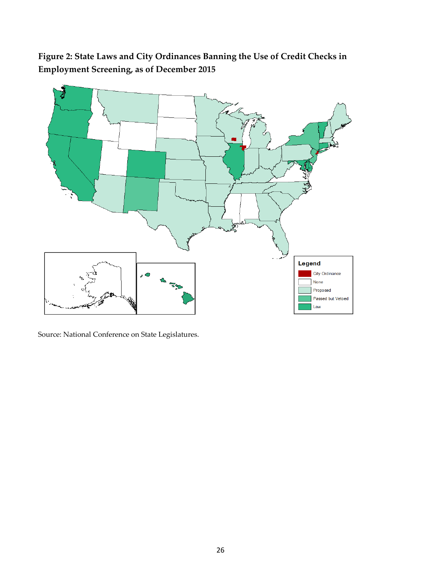



Source: National Conference on State Legislatures.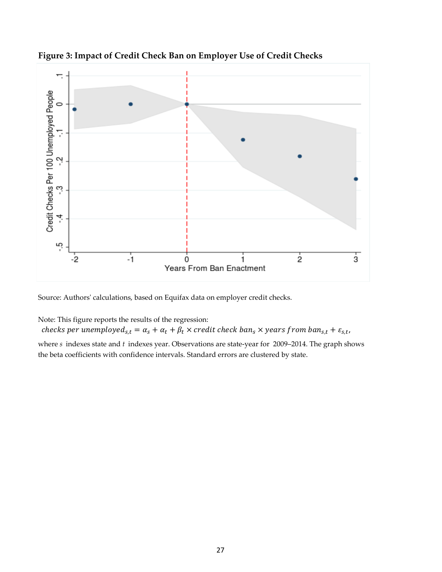

**Figure 3: Impact of Credit Check Ban on Employer Use of Credit Checks**

Source: Authors' calculations, based on Equifax data on employer credit checks.

Note: This figure reports the results of the regression:

checks per unemployed<sub>s,t</sub> =  $\alpha_s + \alpha_t + \beta_t \times \text{credit check } \text{ban}_s \times \text{years from } \text{ban}_{s,t} + \varepsilon_{s,t}$ ,

where *s* indexes state and *t* indexes year. Observations are state-year for 2009–2014. The graph shows the beta coefficients with confidence intervals. Standard errors are clustered by state.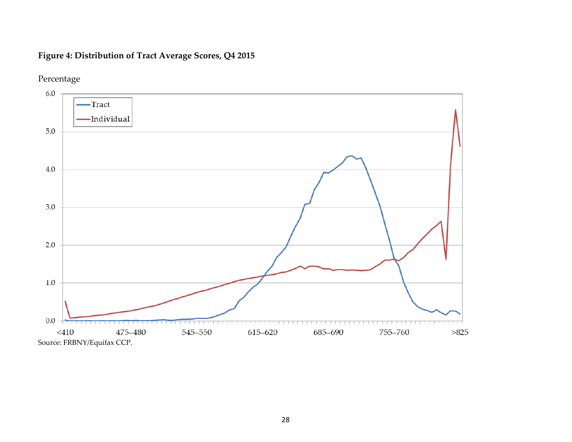## **Figure 4: Distribution of Tract Average Scores, Q4 2015**



## Percentage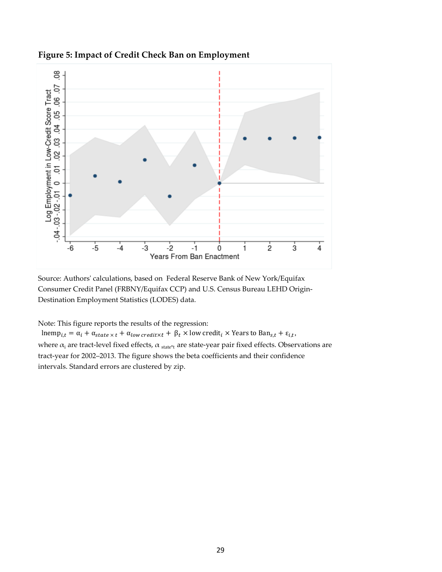

### **Figure 5: Impact of Credit Check Ban on Employment**

Source: Authors' calculations, based on Federal Reserve Bank of New York/Equifax Consumer Credit Panel (FRBNY/Equifax CCP) and U.S. Census Bureau LEHD Origin-Destination Employment Statistics (LODES) data.

Note: This figure reports the results of the regression:

where  $\alpha_i$  are tract-level fixed effects,  $\alpha$  state\*t are state-year pair fixed effects. Observations are tract-year for 2002–2013. The figure shows the beta coefficients and their confidence intervals. Standard errors are clustered by zip.  $\text{lnemp}_{i,t} = \alpha_i + \alpha_{state \times t} + \alpha_{low\, credit \times t} + \beta_t \times \text{low credit}_i \times \text{Years to Ban}_{s,t} + \varepsilon_{i,t},$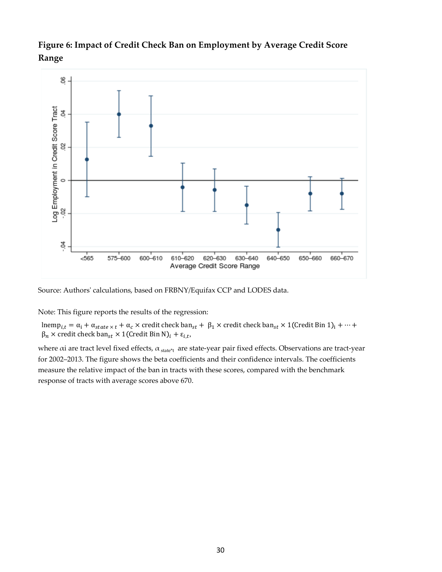## **Figure 6: Impact of Credit Check Ban on Employment by Average Credit Score Range**



Source: Authors' calculations, based on FRBNY/Equifax CCP and LODES data.

Note: This figure reports the results of the regression:

lnemp<sub>i,t</sub> =  $\alpha_i$  +  $\alpha_{state \times t}$  +  $\alpha_c$  × credit check ban<sub>st</sub> +  $\beta_1$  × credit check ban<sub>st</sub> × 1(Credit Bin 1)<sub>i</sub> + … +  $\beta_n \times \text{credit check } \text{ban}_{st} \times 1(\text{Credit Bin } N)_i + \varepsilon_{i,t},$ 

where  $\alpha$ i are tract level fixed effects,  $\alpha_{\text{state*t}}$  are state-year pair fixed effects. Observations are tract-year for 2002–2013. The figure shows the beta coefficients and their confidence intervals. The coefficients measure the relative impact of the ban in tracts with these scores, compared with the benchmark response of tracts with average scores above 670.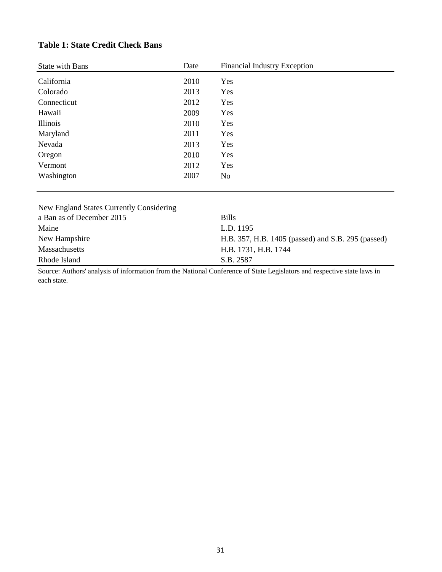### **Table 1: State Credit Check Bans**

| <b>State with Bans</b> | Date | <b>Financial Industry Exception</b> |
|------------------------|------|-------------------------------------|
| California             | 2010 | Yes                                 |
| Colorado               | 2013 | Yes                                 |
| Connecticut            | 2012 | Yes                                 |
| Hawaii                 | 2009 | Yes                                 |
| Illinois               | 2010 | Yes                                 |
| Maryland               | 2011 | Yes                                 |
| Nevada                 | 2013 | Yes                                 |
| Oregon                 | 2010 | Yes                                 |
| Vermont                | 2012 | Yes                                 |
| Washington             | 2007 | No                                  |
|                        |      |                                     |

| New England States Currently Considering                                                                                |                                                    |
|-------------------------------------------------------------------------------------------------------------------------|----------------------------------------------------|
| a Ban as of December 2015                                                                                               | <b>Bills</b>                                       |
| Maine                                                                                                                   | L.D. 1195                                          |
| New Hampshire                                                                                                           | H.B. 357, H.B. 1405 (passed) and S.B. 295 (passed) |
| Massachusetts                                                                                                           | H.B. 1731, H.B. 1744                               |
| Rhode Island                                                                                                            | S.B. 2587                                          |
| Source: Authors' analysis of information from the National Conference of State Legislators and respective state laws in |                                                    |

Source: Authors' analysis of information from the National Conference of State Legislators and respective state laws in each state.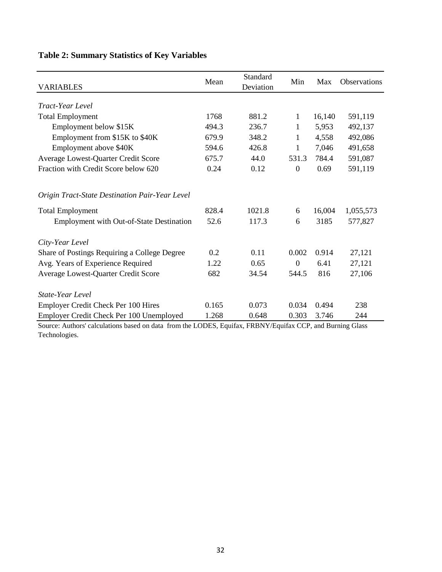| <b>VARIABLES</b>                               | Mean  | Standard<br>Deviation | Min              | Max    | Observations |
|------------------------------------------------|-------|-----------------------|------------------|--------|--------------|
|                                                |       |                       |                  |        |              |
| Tract-Year Level                               |       |                       |                  |        |              |
| <b>Total Employment</b>                        | 1768  | 881.2                 | $\mathbf{1}$     | 16,140 | 591,119      |
| Employment below \$15K                         | 494.3 | 236.7                 | $\mathbf{1}$     | 5,953  | 492,137      |
| Employment from \$15K to \$40K                 | 679.9 | 348.2                 | $\mathbf{1}$     | 4,558  | 492,086      |
| Employment above \$40K                         | 594.6 | 426.8                 | 1                | 7,046  | 491,658      |
| Average Lowest-Quarter Credit Score            | 675.7 | 44.0                  | 531.3            | 784.4  | 591,087      |
| Fraction with Credit Score below 620           | 0.24  | 0.12                  | $\boldsymbol{0}$ | 0.69   | 591,119      |
| Origin Tract-State Destination Pair-Year Level |       |                       |                  |        |              |
| <b>Total Employment</b>                        | 828.4 | 1021.8                | 6                | 16,004 | 1,055,573    |
| Employment with Out-of-State Destination       | 52.6  | 117.3                 | 6                | 3185   | 577,827      |
| City-Year Level                                |       |                       |                  |        |              |
| Share of Postings Requiring a College Degree   | 0.2   | 0.11                  | 0.002            | 0.914  | 27,121       |
| Avg. Years of Experience Required              | 1.22  | 0.65                  | $\boldsymbol{0}$ | 6.41   | 27,121       |
| Average Lowest-Quarter Credit Score            | 682   | 34.54                 | 544.5            | 816    | 27,106       |
| State-Year Level                               |       |                       |                  |        |              |
| <b>Employer Credit Check Per 100 Hires</b>     | 0.165 | 0.073                 | 0.034            | 0.494  | 238          |
| Employer Credit Check Per 100 Unemployed       | 1.268 | 0.648                 | 0.303            | 3.746  | 244          |

## **Table 2: Summary Statistics of Key Variables**

Source: Authors' calculations based on data from the LODES, Equifax, FRBNY/Equifax CCP, and Burning Glass Technologies.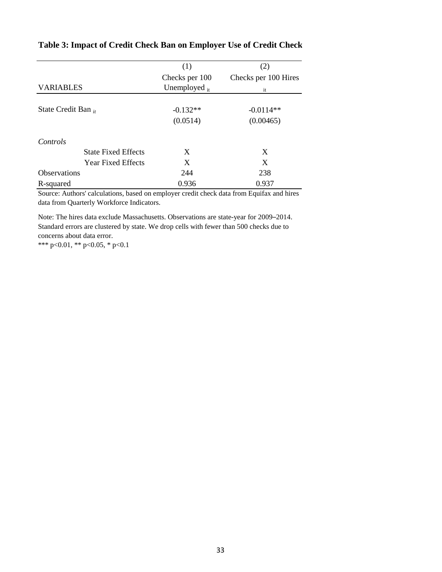|                            | (1)                | (2)                  |
|----------------------------|--------------------|----------------------|
|                            | Checks per 100     | Checks per 100 Hires |
| <b>VARIABLES</b>           | Unemployed $_{it}$ | it                   |
|                            |                    |                      |
| State Credit Ban $_{it}$   | $-0.132**$         | $-0.0114**$          |
|                            | (0.0514)           | (0.00465)            |
| Controls                   |                    |                      |
| <b>State Fixed Effects</b> | X                  | X                    |
| <b>Year Fixed Effects</b>  | X                  | X                    |
| <b>Observations</b>        | 244                | 238                  |
| R-squared                  | 0.936              | 0.937                |

### **Table 3: Impact of Credit Check Ban on Employer Use of Credit Check**

Source: Authors' calculations, based on employer credit check data from Equifax and hires data from Quarterly Workforce Indicators.

Note: The hires data exclude Massachusetts. Observations are state-year for 2009–2014. Standard errors are clustered by state. We drop cells with fewer than 500 checks due to concerns about data error.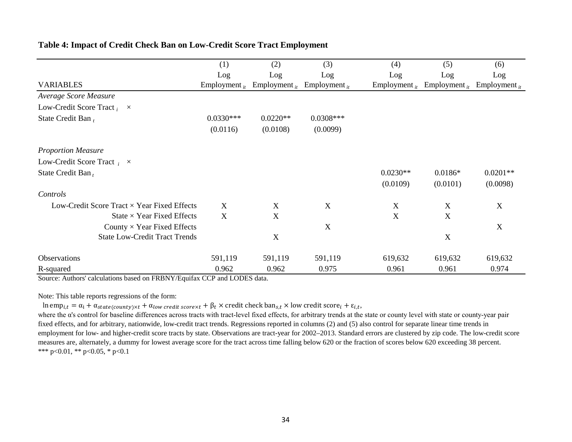|                                                    | (1)                | (2)                | (3)                | (4)                | (5)                       | (6)                |
|----------------------------------------------------|--------------------|--------------------|--------------------|--------------------|---------------------------|--------------------|
|                                                    | Log                | Log                | Log                | Log                | Log                       | Log                |
| <b>VARIABLES</b>                                   | Employment $_{it}$ | Employment $_{it}$ | Employment $_{it}$ | Employment $_{it}$ | Employment $_{it}$        | Employment $_{it}$ |
| Average Score Measure                              |                    |                    |                    |                    |                           |                    |
| Low-Credit Score Tract $_i \times$                 |                    |                    |                    |                    |                           |                    |
| State Credit Ban,                                  | $0.0330***$        | $0.0220**$         | $0.0308***$        |                    |                           |                    |
|                                                    | (0.0116)           | (0.0108)           | (0.0099)           |                    |                           |                    |
| <b>Proportion Measure</b>                          |                    |                    |                    |                    |                           |                    |
| Low-Credit Score Tract $\chi$ $\times$             |                    |                    |                    |                    |                           |                    |
| State Credit Ban,                                  |                    |                    |                    | $0.0230**$         | $0.0186*$                 | $0.0201**$         |
|                                                    |                    |                    |                    | (0.0109)           | (0.0101)                  | (0.0098)           |
| Controls                                           |                    |                    |                    |                    |                           |                    |
| Low-Credit Score Tract $\times$ Year Fixed Effects | X                  | X                  | X                  | X                  | X                         | X                  |
| State $\times$ Year Fixed Effects                  | X                  | X                  |                    | X                  | X                         |                    |
| County $\times$ Year Fixed Effects                 |                    |                    | X                  |                    |                           | X                  |
| <b>State Low-Credit Tract Trends</b>               |                    | X                  |                    |                    | $\boldsymbol{\mathrm{X}}$ |                    |
| <b>Observations</b>                                | 591,119            | 591,119            | 591,119            | 619,632            | 619,632                   | 619,632            |
| R-squared                                          | 0.962              | 0.962              | 0.975              | 0.961              | 0.961                     | 0.974              |

### **Table 4: Impact of Credit Check Ban on Low-Credit Score Tract Employment**

Source: Authors' calculations based on FRBNY/Equifax CCP and LODES data.

Note: This table reports regressions of the form:

 $\ln \text{emp}_{i,t} = \alpha_i + \alpha_{state(county) \times t} + \alpha_{low\, credit\, score \times t} + \beta_t \times \text{credit}\, check\, \text{ban}_{s,t} \times \text{low}\, credit\, score_i + \varepsilon_{i,t},$ 

where the α's control for baseline differences across tracts with tract-level fixed effects, for arbitrary trends at the state or county level with state or county-year pair fixed effects, and for arbitrary, nationwide, low-credit tract trends. Regressions reported in columns (2) and (5) also control for separate linear time trends in employment for low- and higher-credit score tracts by state. Observations are tract-year for 2002–2013. Standard errors are clustered by zip code. The low-credit score measures are, alternately, a dummy for lowest average score for the tract across time falling below 620 or the fraction of scores below 620 exceeding 38 percent. \*\*\* p<0.01, \*\* p<0.05, \* p<0.1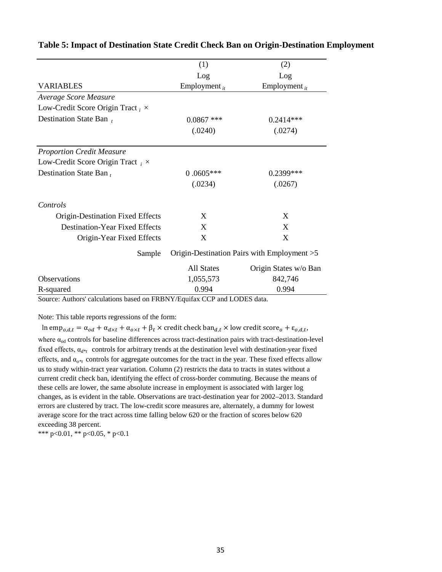|                                         | (1)                | (2)                                          |
|-----------------------------------------|--------------------|----------------------------------------------|
|                                         | Log                | Log                                          |
| <b>VARIABLES</b>                        | Employment $_{it}$ | Employment $_{it}$                           |
| Average Score Measure                   |                    |                                              |
| Low-Credit Score Origin Tract, $\times$ |                    |                                              |
| Destination State Ban $t$               | $0.0867$ ***       | $0.2414***$                                  |
|                                         | (.0240)            | (.0274)                                      |
| <b>Proportion Credit Measure</b>        |                    |                                              |
| Low-Credit Score Origin Tract $\chi$ ×  |                    |                                              |
| Destination State Ban $t$               | $0.0605***$        | $0.2399***$                                  |
|                                         | (.0234)            | (.0267)                                      |
| Controls                                |                    |                                              |
| Origin-Destination Fixed Effects        | X                  | X                                            |
| Destination-Year Fixed Effects          | X                  | X                                            |
| Origin-Year Fixed Effects               | X                  | X                                            |
| Sample                                  |                    | Origin-Destination Pairs with Employment > 5 |
|                                         | All States         | Origin States w/o Ban                        |
| <b>Observations</b>                     | 1,055,573          | 842,746                                      |
| R-squared                               | 0.994              | 0.994                                        |

### **Table 5: Impact of Destination State Credit Check Ban on Origin-Destination Employment**

Source: Authors' calculations based on FRBNY/Equifax CCP and LODES data.

Note: This table reports regressions of the form:

where  $\alpha_{\rm od}$  controls for baseline differences across tract-destination pairs with tract-destination-level fixed effects,  $\alpha_{d^*t}$  controls for arbitrary trends at the destination level with destination-year fixed effects, and  $\alpha_{o^{*t}}$  controls for aggregate outcomes for the tract in the year. These fixed effects allow us to study within-tract year variation. Column (2) restricts the data to tracts in states without a current credit check ban, identifying the effect of cross-border commuting. Because the means of these cells are lower, the same absolute increase in employment is associated with larger log changes, as is evident in the table. Observations are tract-destination year for 2002–2013. Standard errors are clustered by tract. The low-credit score measures are, alternately, a dummy for lowest average score for the tract across time falling below 620 or the fraction of scores below 620 exceeding 38 percent.  $\ln \text{emp}_{o,d,t} = \alpha_{od} + \alpha_{d \times t} + \alpha_{o \times t} + \beta_t \times \text{credit check } \text{ban}_{d,t} \times \text{low credit score}_o + \varepsilon_{o,d,t}$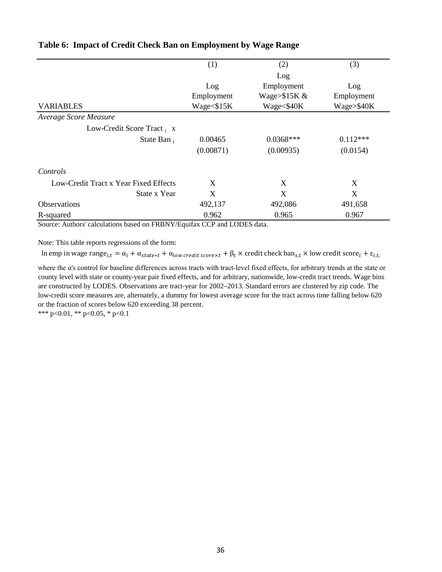|                                       | (1)        | (2)              | (3)        |
|---------------------------------------|------------|------------------|------------|
|                                       |            | Log              |            |
|                                       | Log        | Employment       | Log        |
|                                       | Employment | Wage $> $15K \&$ | Employment |
| <b>VARIABLES</b>                      | Wage<\$15K | Wage<\$40K       | Wage>\$40K |
| Average Score Measure                 |            |                  |            |
| Low-Credit Score Tract $_i$ x         |            |                  |            |
| State Ban $t$                         | 0.00465    | $0.0368***$      | $0.112***$ |
|                                       | (0.00871)  | (0.00935)        | (0.0154)   |
| Controls                              |            |                  |            |
| Low-Credit Tract x Year Fixed Effects | X          | X                | X          |
| State x Year                          | X          | X                | X          |
| <b>Observations</b>                   | 492,137    | 492,086          | 491,658    |
| R-squared                             | 0.962      | 0.965            | 0.967      |

### **Table 6: Impact of Credit Check Ban on Employment by Wage Range**

Source: Authors' calculations based on FRBNY/Equifax CCP and LODES data.

Note: This table reports regressions of the form:

ln emp in wage range $_{i,t} = \alpha_i + \alpha_{state*t} + \alpha_{low\,credit\,score\times t} + \beta_t \times \text{credit}\,check}$  ban<sub>s,t</sub> × low credit score<sub>i</sub> +  $\varepsilon_{i,t}$ ,

where the α's control for baseline differences across tracts with tract-level fixed effects, for arbitrary trends at the state or county level with state or county-year pair fixed effects, and for arbitrary, nationwide, low-credit tract trends. Wage bins are constructed by LODES. Observations are tract-year for 2002–2013. Standard errors are clustered by zip code. The low-credit score measures are, alternately, a dummy for lowest average score for the tract across time falling below 620 or the fraction of scores below 620 exceeding 38 percent.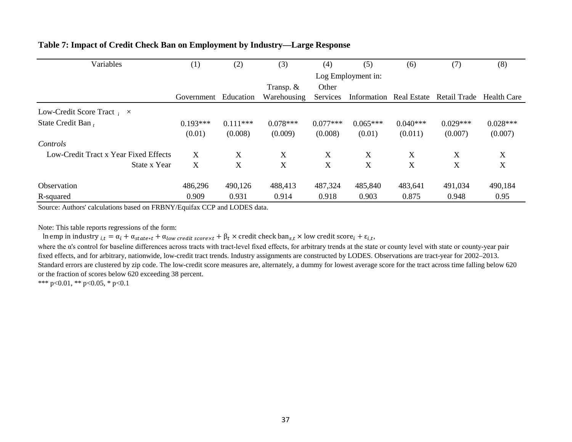| Variables                             | (1)        | (2)        | (3)                | (4)        | (5)         | (6)         | (7)          | (8)         |  |  |
|---------------------------------------|------------|------------|--------------------|------------|-------------|-------------|--------------|-------------|--|--|
|                                       |            |            | Log Employment in: |            |             |             |              |             |  |  |
|                                       |            |            | Transp. $&$        | Other      |             |             |              |             |  |  |
|                                       | Government | Education  | Warehousing        | Services   | Information | Real Estate | Retail Trade | Health Care |  |  |
| Low-Credit Score Tract $\mu \times$   |            |            |                    |            |             |             |              |             |  |  |
| State Credit Ban,                     | $0.193***$ | $0.111***$ | $0.078***$         | $0.077***$ | $0.065***$  | $0.040***$  | $0.029***$   | $0.028***$  |  |  |
|                                       | (0.01)     | (0.008)    | (0.009)            | (0.008)    | (0.01)      | (0.011)     | (0.007)      | (0.007)     |  |  |
| Controls                              |            |            |                    |            |             |             |              |             |  |  |
| Low-Credit Tract x Year Fixed Effects | X          | X          | X                  | X          | X           | X           | X            | X           |  |  |
| State x Year                          | X          | X          | X                  | X          | X           | X           | X            | X           |  |  |
| <b>Observation</b>                    | 486,296    | 490,126    | 488,413            | 487,324    | 485,840     | 483,641     | 491,034      | 490,184     |  |  |
| R-squared                             | 0.909      | 0.931      | 0.914              | 0.918      | 0.903       | 0.875       | 0.948        | 0.95        |  |  |

### **Table 7: Impact of Credit Check Ban on Employment by Industry—Large Response**

Source: Authors' calculations based on FRBNY/Equifax CCP and LODES data.

Note: This table reports regressions of the form:

ln emp in industry  $_{i,t} = \alpha_i + \alpha_{state*t} + \alpha_{low\,credit\,score\times t} + \beta_t \times \text{credit}\,check}$  ban<sub>s,t</sub>  $\times$  low credit score<sub>i</sub> +  $\varepsilon_{i,t}$ ,

where the α's control for baseline differences across tracts with tract-level fixed effects, for arbitrary trends at the state or county level with state or county-year pair fixed effects, and for arbitrary, nationwide, low-credit tract trends. Industry assignments are constructed by LODES. Observations are tract-year for 2002–2013. Standard errors are clustered by zip code. The low-credit score measures are, alternately, a dummy for lowest average score for the tract across time falling below 620 or the fraction of scores below 620 exceeding 38 percent.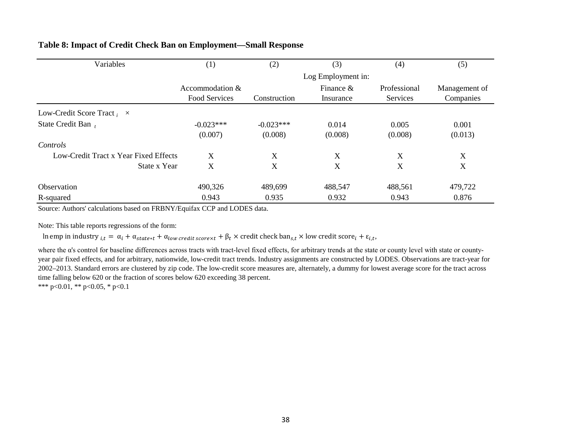| Variables                             | (1)                  | (2)                | (3)          | (4)          | (5)           |
|---------------------------------------|----------------------|--------------------|--------------|--------------|---------------|
|                                       |                      | Log Employment in: |              |              |               |
|                                       | Accommodation $&$    |                    | Finance $\&$ | Professional | Management of |
|                                       | <b>Food Services</b> | Construction       | Insurance    | Services     | Companies     |
| Low-Credit Score Tract $_i \times$    |                      |                    |              |              |               |
| State Credit Ban                      | $-0.023***$          | $-0.023***$        | 0.014        | 0.005        | 0.001         |
|                                       | (0.007)              | (0.008)            | (0.008)      | (0.008)      | (0.013)       |
| Controls                              |                      |                    |              |              |               |
| Low-Credit Tract x Year Fixed Effects | X                    | X                  | X            | X            | X             |
| State x Year                          | X                    | X                  | X            | X            | X             |
| Observation                           | 490,326              | 489,699            | 488,547      | 488,561      | 479,722       |
| R-squared                             | 0.943                | 0.935              | 0.932        | 0.943        | 0.876         |

### **Table 8: Impact of Credit Check Ban on Employment—Small Response**

Source: Authors' calculations based on FRBNY/Equifax CCP and LODES data.

Note: This table reports regressions of the form:

ln emp in industry  $_{i,t} = \alpha_i + \alpha_{state*t} + \alpha_{low\, credit\, scorext} + \beta_t \times \text{credit}\, check\, ban_{s,t} \times low\, credit\, score_i + \varepsilon_{i,t}$ 

where the α's control for baseline differences across tracts with tract-level fixed effects, for arbitrary trends at the state or county level with state or countyyear pair fixed effects, and for arbitrary, nationwide, low-credit tract trends. Industry assignments are constructed by LODES. Observations are tract-year for 2002–2013. Standard errors are clustered by zip code. The low-credit score measures are, alternately, a dummy for lowest average score for the tract across time falling below 620 or the fraction of scores below 620 exceeding 38 percent.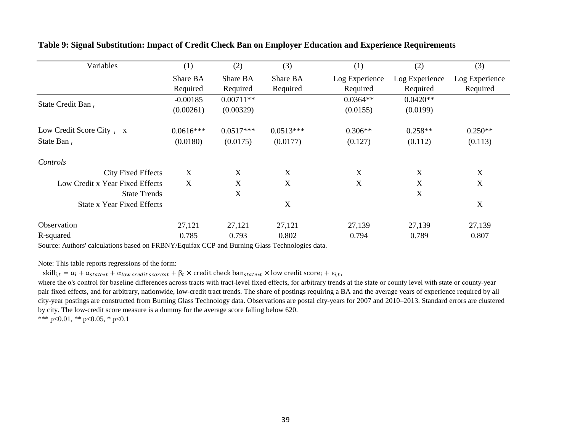| Variables                         | (1)         | (2)         | (3)         | (1)            | (2)            | (3)            |
|-----------------------------------|-------------|-------------|-------------|----------------|----------------|----------------|
|                                   | Share BA    | Share BA    | Share BA    | Log Experience | Log Experience | Log Experience |
|                                   | Required    | Required    | Required    | Required       | Required       | Required       |
| State Credit Ban,                 | $-0.00185$  | $0.00711**$ |             | $0.0364**$     | $0.0420**$     |                |
|                                   | (0.00261)   | (0.00329)   |             | (0.0155)       | (0.0199)       |                |
| Low Credit Score City $_i$ x      | $0.0616***$ | $0.0517***$ | $0.0513***$ | $0.306**$      | $0.258**$      | $0.250**$      |
| State Ban,                        | (0.0180)    | (0.0175)    | (0.0177)    | (0.127)        | (0.112)        | (0.113)        |
| Controls                          |             |             |             |                |                |                |
| <b>City Fixed Effects</b>         | X           | X           | X           | X              | X              | X              |
| Low Credit x Year Fixed Effects   | X           | X           | X           | X              | X              | X              |
| <b>State Trends</b>               |             | X           |             |                | X              |                |
| <b>State x Year Fixed Effects</b> |             |             | X           |                |                | X              |
| Observation                       | 27,121      | 27,121      | 27,121      | 27,139         | 27,139         | 27,139         |
| R-squared                         | 0.785       | 0.793       | 0.802       | 0.794          | 0.789          | 0.807          |

**Table 9: Signal Substitution: Impact of Credit Check Ban on Employer Education and Experience Requirements**

Source: Authors' calculations based on FRBNY/Equifax CCP and Burning Glass Technologies data.

Note: This table reports regressions of the form:

 $\text{skill}_{i,t} = \alpha_i + \alpha_{state*t} + \alpha_{low\,credit\,scorext} + \beta_t \times \text{credit}\,check}$  ban $_{state*t} \times \text{low}\,credit\,score_i + \varepsilon_{i,t}$ ,

where the α's control for baseline differences across tracts with tract-level fixed effects, for arbitrary trends at the state or county level with state or county-year pair fixed effects, and for arbitrary, nationwide, low-credit tract trends. The share of postings requiring a BA and the average years of experience required by all city-year postings are constructed from Burning Glass Technology data. Observations are postal city-years for 2007 and 2010–2013. Standard errors are clustered by city. The low-credit score measure is a dummy for the average score falling below 620.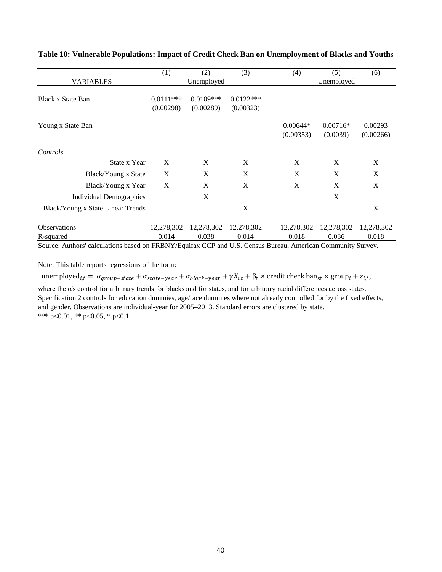|                                   | (1)         | (2)         | (3)         | (4)                     | (5)                    | (6)                  |
|-----------------------------------|-------------|-------------|-------------|-------------------------|------------------------|----------------------|
| <b>VARIABLES</b>                  |             | Unemployed  |             |                         | Unemployed             |                      |
| Black x State Ban                 | $0.0111***$ | $0.0109***$ | $0.0122***$ |                         |                        |                      |
|                                   | (0.00298)   | (0.00289)   | (0.00323)   |                         |                        |                      |
| Young x State Ban                 |             |             |             | $0.00644*$<br>(0.00353) | $0.00716*$<br>(0.0039) | 0.00293<br>(0.00266) |
| Controls                          |             |             |             |                         |                        |                      |
| State x Year                      | X           | X           | X           | X                       | X                      | X                    |
| Black/Young x State               | X           | X           | X           | X                       | X                      | X                    |
| Black/Young x Year                | X           | X           | X           | X                       | X                      | X                    |
| Individual Demographics           |             | X           |             |                         | X                      |                      |
| Black/Young x State Linear Trends |             |             | X           |                         |                        | X                    |
| <b>Observations</b>               | 12,278,302  | 12,278,302  | 12,278,302  | 12,278,302              | 12,278,302             | 12,278,302           |
| R-squared                         | 0.014       | 0.038       | 0.014       | 0.018                   | 0.036                  | 0.018                |

### **Table 10: Vulnerable Populations: Impact of Credit Check Ban on Unemployment of Blacks and Youths**

Source: Authors' calculations based on FRBNY/Equifax CCP and U.S. Census Bureau, American Community Survey.

Note: This table reports regressions of the form:

where the α's control for arbitrary trends for blacks and for states, and for arbitrary racial differences across states. Specification 2 controls for education dummies, age/race dummies where not already controlled for by the fixed effects, and gender. Observations are individual-year for 2005–2013. Standard errors are clustered by state. \*\*\* p<0.01, \*\* p<0.05, \* p<0.1 unemployed<sub>i,t</sub> =  $\alpha_{group-state} + \alpha_{state-year} + \alpha_{black-year} + \gamma X_{i,t} + \beta_t \times \text{credit check } \text{ban}_{st} \times \text{group}_i + \varepsilon_{i,t}$ ,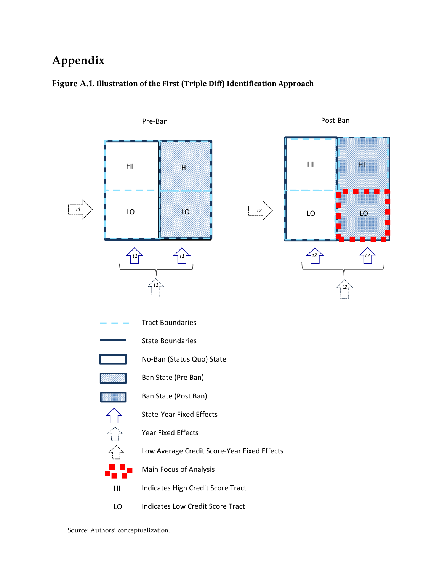# **Appendix**